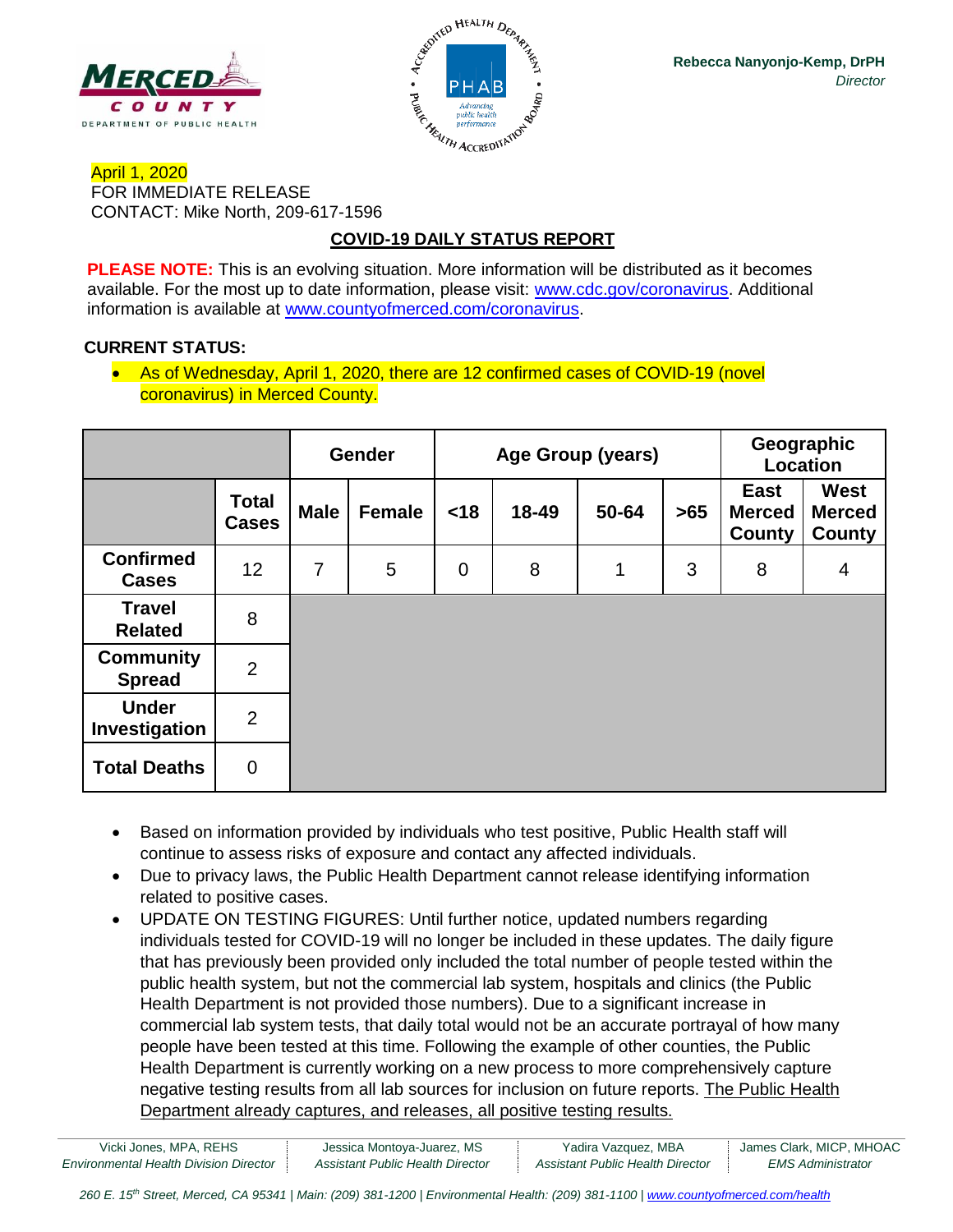



## April 1, 2020 FOR IMMEDIATE RELEASE CONTACT: Mike North, 209-617-1596

# **COVID-19 DAILY STATUS REPORT**

**PLEASE NOTE:** This is an evolving situation. More information will be distributed as it becomes available. For the most up to date information, please visit: [www.cdc.gov/coronavirus.](http://www.cdc.gov/coronavirus) Additional information is available at [www.countyofmerced.com/coronavirus.](http://www.countyofmerced.com/coronavirus)

## **CURRENT STATUS:**

• As of Wednesday, April 1, 2020, there are 12 confirmed cases of COVID-19 (novel coronavirus) in Merced County.

|                                   |                              | <b>Gender</b>  |               | Age Group (years) |       |       |       | Geographic<br>Location                 |                                               |
|-----------------------------------|------------------------------|----------------|---------------|-------------------|-------|-------|-------|----------------------------------------|-----------------------------------------------|
|                                   | <b>Total</b><br><b>Cases</b> | <b>Male</b>    | <b>Female</b> | <18               | 18-49 | 50-64 | $>65$ | <b>East</b><br><b>Merced</b><br>County | <b>West</b><br><b>Merced</b><br><b>County</b> |
| <b>Confirmed</b><br><b>Cases</b>  | 12                           | $\overline{7}$ | 5             | $\mathbf 0$       | 8     | 1     | 3     | 8                                      | 4                                             |
| <b>Travel</b><br><b>Related</b>   | 8                            |                |               |                   |       |       |       |                                        |                                               |
| <b>Community</b><br><b>Spread</b> | 2                            |                |               |                   |       |       |       |                                        |                                               |
| <b>Under</b><br>Investigation     | $\overline{2}$               |                |               |                   |       |       |       |                                        |                                               |
| <b>Total Deaths</b>               | $\mathbf 0$                  |                |               |                   |       |       |       |                                        |                                               |

- Based on information provided by individuals who test positive, Public Health staff will continue to assess risks of exposure and contact any affected individuals.
- Due to privacy laws, the Public Health Department cannot release identifying information related to positive cases.
- UPDATE ON TESTING FIGURES: Until further notice, updated numbers regarding individuals tested for COVID-19 will no longer be included in these updates. The daily figure that has previously been provided only included the total number of people tested within the public health system, but not the commercial lab system, hospitals and clinics (the Public Health Department is not provided those numbers). Due to a significant increase in commercial lab system tests, that daily total would not be an accurate portrayal of how many people have been tested at this time. Following the example of other counties, the Public Health Department is currently working on a new process to more comprehensively capture negative testing results from all lab sources for inclusion on future reports. The Public Health Department already captures, and releases, all positive testing results.

| Vicki Jones, MPA, REHS                        | Jessica Montoya-Juarez, MS       | Yadira Vazquez, MBA              | James Clark, MICP, MHOAC |
|-----------------------------------------------|----------------------------------|----------------------------------|--------------------------|
| <b>Environmental Health Division Director</b> | Assistant Public Health Director | Assistant Public Health Director | EMS Administrator        |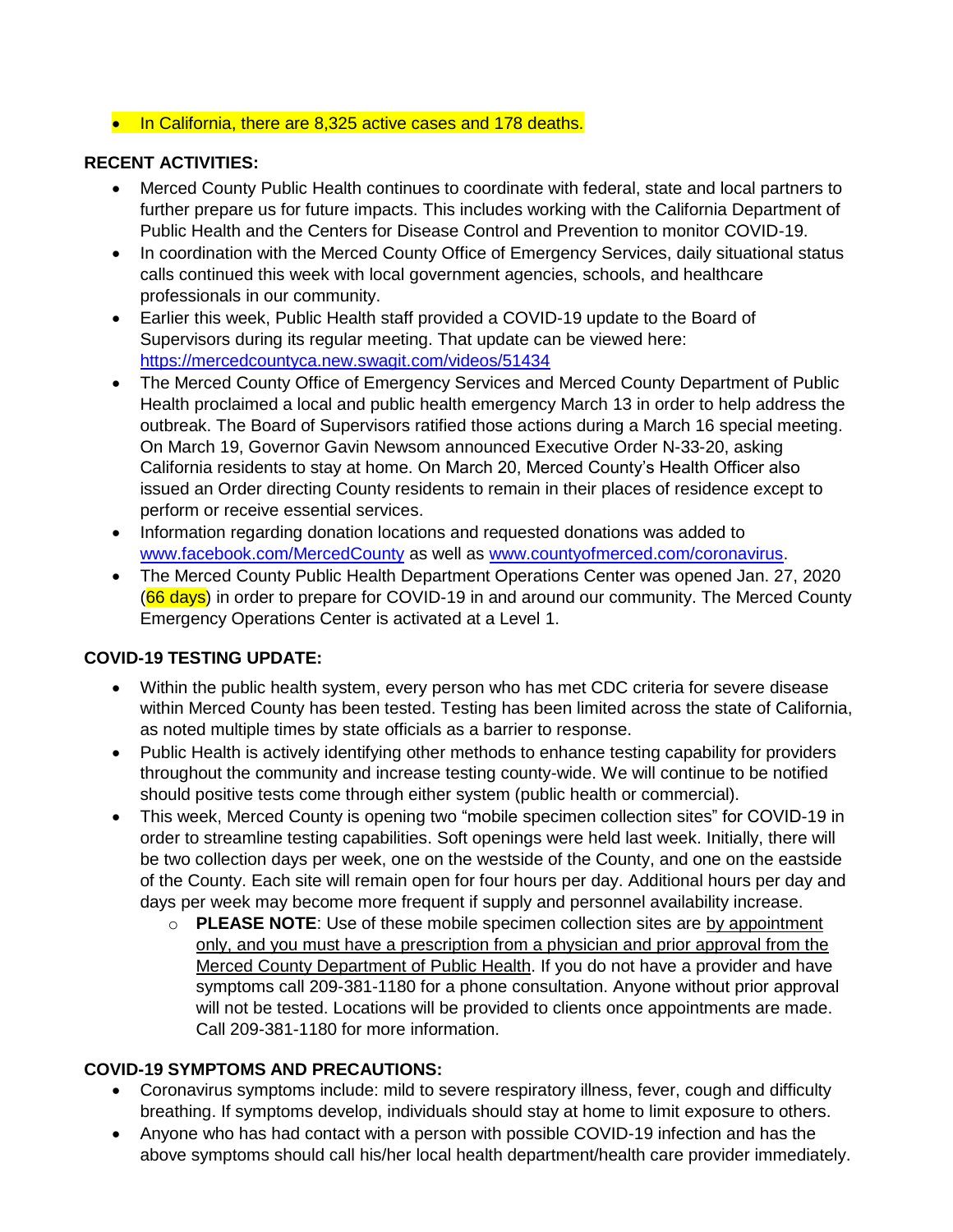#### • In California, there are 8,325 active cases and 178 deaths.

### **RECENT ACTIVITIES:**

- Merced County Public Health continues to coordinate with federal, state and local partners to further prepare us for future impacts. This includes working with the California Department of Public Health and the Centers for Disease Control and Prevention to monitor COVID-19.
- In coordination with the Merced County Office of Emergency Services, daily situational status calls continued this week with local government agencies, schools, and healthcare professionals in our community.
- Earlier this week, Public Health staff provided a COVID-19 update to the Board of Supervisors during its regular meeting. That update can be viewed here: <https://mercedcountyca.new.swagit.com/videos/51434>
- The Merced County Office of Emergency Services and Merced County Department of Public Health proclaimed a local and public health emergency March 13 in order to help address the outbreak. The Board of Supervisors ratified those actions during a March 16 special meeting. On March 19, Governor Gavin Newsom announced Executive Order N-33-20, asking California residents to stay at home. On March 20, Merced County's Health Officer also issued an Order directing County residents to remain in their places of residence except to perform or receive essential services.
- Information regarding donation locations and requested donations was added to [www.facebook.com/MercedCounty](http://www.facebook.com/MercedCounty) as well as [www.countyofmerced.com/coronavirus.](http://www.countyofmerced.com/coronavirus)
- The Merced County Public Health Department Operations Center was opened Jan. 27, 2020 (66 days) in order to prepare for COVID-19 in and around our community. The Merced County Emergency Operations Center is activated at a Level 1.

## **COVID-19 TESTING UPDATE:**

- Within the public health system, every person who has met CDC criteria for severe disease within Merced County has been tested. Testing has been limited across the state of California, as noted multiple times by state officials as a barrier to response.
- Public Health is actively identifying other methods to enhance testing capability for providers throughout the community and increase testing county-wide. We will continue to be notified should positive tests come through either system (public health or commercial).
- This week, Merced County is opening two "mobile specimen collection sites" for COVID-19 in order to streamline testing capabilities. Soft openings were held last week. Initially, there will be two collection days per week, one on the westside of the County, and one on the eastside of the County. Each site will remain open for four hours per day. Additional hours per day and days per week may become more frequent if supply and personnel availability increase.
	- o **PLEASE NOTE**: Use of these mobile specimen collection sites are by appointment only, and you must have a prescription from a physician and prior approval from the Merced County Department of Public Health. If you do not have a provider and have symptoms call 209-381-1180 for a phone consultation. Anyone without prior approval will not be tested. Locations will be provided to clients once appointments are made. Call 209-381-1180 for more information.

## **COVID-19 SYMPTOMS AND PRECAUTIONS:**

- Coronavirus symptoms include: mild to severe respiratory illness, fever, cough and difficulty breathing. If symptoms develop, individuals should stay at home to limit exposure to others.
- Anyone who has had contact with a person with possible COVID-19 infection and has the above symptoms should call his/her local health department/health care provider immediately.